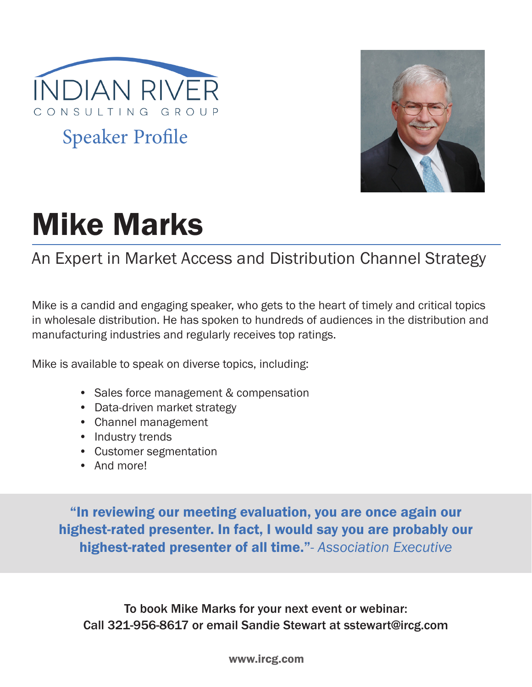

Speaker Profile



# Mike Marks

# An Expert in Market Access and Distribution Channel Strategy

Mike is a candid and engaging speaker, who gets to the heart of timely and critical topics in wholesale distribution. He has spoken to hundreds of audiences in the distribution and manufacturing industries and regularly receives top ratings.

Mike is available to speak on diverse topics, including:

- Sales force management & compensation
- Data-driven market strategy
- Channel management
- Industry trends
- Customer segmentation
- And more!

"In reviewing our meeting evaluation, you are once again our highest-rated presenter. In fact, I would say you are probably our highest-rated presenter of all time."*- Association Executive*

To book Mike Marks for your next event or webinar: Call 321-956-8617 or email Sandie Stewart at sstewart@ircg.com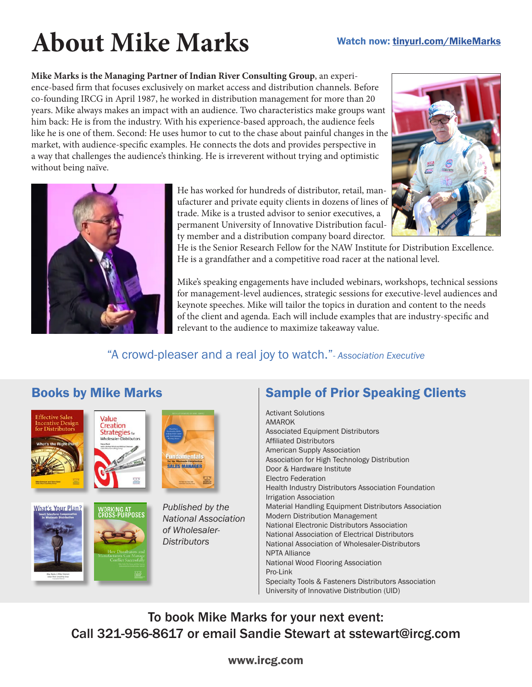# **About Mike Marks**

#### Watch now: tinyurl.com/MikeMarks

**Mike Marks is the Managing Partner of Indian River Consulting Group**, an experience-based firm that focuses exclusively on market access and distribution channels. Before co-founding IRCG in April 1987, he worked in distribution management for more than 20 years. Mike always makes an impact with an audience. Two characteristics make groups want him back: He is from the industry. With his experience-based approach, the audience feels like he is one of them. Second: He uses humor to cut to the chase about painful changes in the market, with audience-specific examples. He connects the dots and provides perspective in a way that challenges the audience's thinking. He is irreverent without trying and optimistic without being naïve.



He has worked for hundreds of distributor, retail, manufacturer and private equity clients in dozens of lines of trade. Mike is a trusted advisor to senior executives, a permanent University of Innovative Distribution faculty member and a distribution company board director.



He is the Senior Research Fellow for the NAW Institute for Distribution Excellence. He is a grandfather and a competitive road racer at the national level.

Mike's speaking engagements have included webinars, workshops, technical sessions for management-level audiences, strategic sessions for executive-level audiences and keynote speeches. Mike will tailor the topics in duration and content to the needs of the client and agenda. Each will include examples that are industry-specific and relevant to the audience to maximize takeaway value.

### "A crowd-pleaser and a real joy to watch."*- Association Executive*

# Books by Mike Marks









*Published by the National Association of Wholesaler-Distributors*

## Sample of Prior Speaking Clients

Activant Solutions AMAROK Associated Equipment Distributors Affiliated Distributors American Supply Association Association for High Technology Distribution Door & Hardware Institute Electro Federation Health Industry Distributors Association Foundation Irrigation Association Material Handling Equipment Distributors Association Modern Distribution Management National Electronic Distributors Association National Association of Electrical Distributors National Association of Wholesaler-Distributors NPTA Alliance National Wood Flooring Association Pro-Link Specialty Tools & Fasteners Distributors Association University of Innovative Distribution (UID)

To book Mike Marks for your next event: Call 321-956-8617 or email Sandie Stewart at sstewart@ircg.com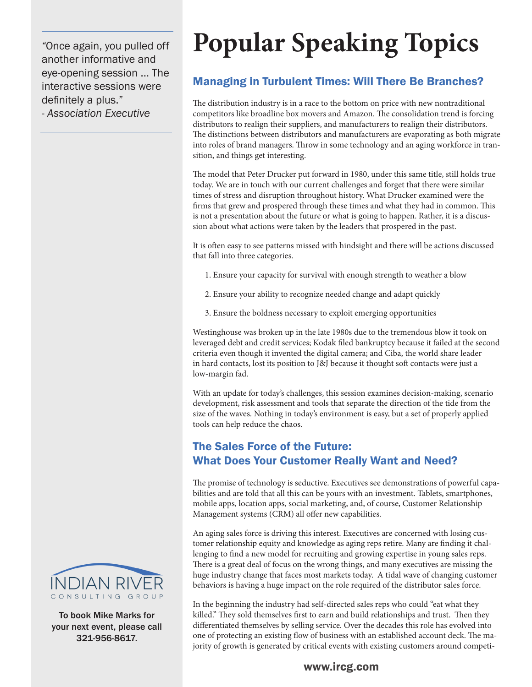*"*Once again, you pulled off another informative and eye-opening session ... The interactive sessions were definitely a plus." - *Association Executive*

# **Popular Speaking Topics**

### Managing in Turbulent Times: Will There Be Branches?

The distribution industry is in a race to the bottom on price with new nontraditional competitors like broadline box movers and Amazon. The consolidation trend is forcing distributors to realign their suppliers, and manufacturers to realign their distributors. The distinctions between distributors and manufacturers are evaporating as both migrate into roles of brand managers. Throw in some technology and an aging workforce in transition, and things get interesting.

The model that Peter Drucker put forward in 1980, under this same title, still holds true today. We are in touch with our current challenges and forget that there were similar times of stress and disruption throughout history. What Drucker examined were the firms that grew and prospered through these times and what they had in common. This is not a presentation about the future or what is going to happen. Rather, it is a discussion about what actions were taken by the leaders that prospered in the past.

It is often easy to see patterns missed with hindsight and there will be actions discussed that fall into three categories.

- 1. Ensure your capacity for survival with enough strength to weather a blow
- 2. Ensure your ability to recognize needed change and adapt quickly
- 3. Ensure the boldness necessary to exploit emerging opportunities

Westinghouse was broken up in the late 1980s due to the tremendous blow it took on leveraged debt and credit services; Kodak filed bankruptcy because it failed at the second criteria even though it invented the digital camera; and Ciba, the world share leader in hard contacts, lost its position to J&J because it thought soft contacts were just a low-margin fad.

With an update for today's challenges, this session examines decision-making, scenario development, risk assessment and tools that separate the direction of the tide from the size of the waves. Nothing in today's environment is easy, but a set of properly applied tools can help reduce the chaos.

### The Sales Force of the Future: What Does Your Customer Really Want and Need?

The promise of technology is seductive. Executives see demonstrations of powerful capabilities and are told that all this can be yours with an investment. Tablets, smartphones, mobile apps, location apps, social marketing, and, of course, Customer Relationship Management systems (CRM) all offer new capabilities.

An aging sales force is driving this interest. Executives are concerned with losing customer relationship equity and knowledge as aging reps retire. Many are finding it challenging to find a new model for recruiting and growing expertise in young sales reps. There is a great deal of focus on the wrong things, and many executives are missing the huge industry change that faces most markets today. A tidal wave of changing customer behaviors is having a huge impact on the role required of the distributor sales force.

In the beginning the industry had self-directed sales reps who could "eat what they killed." They sold themselves first to earn and build relationships and trust. Then they differentiated themselves by selling service. Over the decades this role has evolved into one of protecting an existing flow of business with an established account deck. The majority of growth is generated by critical events with existing customers around competi-



To book Mike Marks for your next event, please call 321-956-8617.

#### www.ircg.com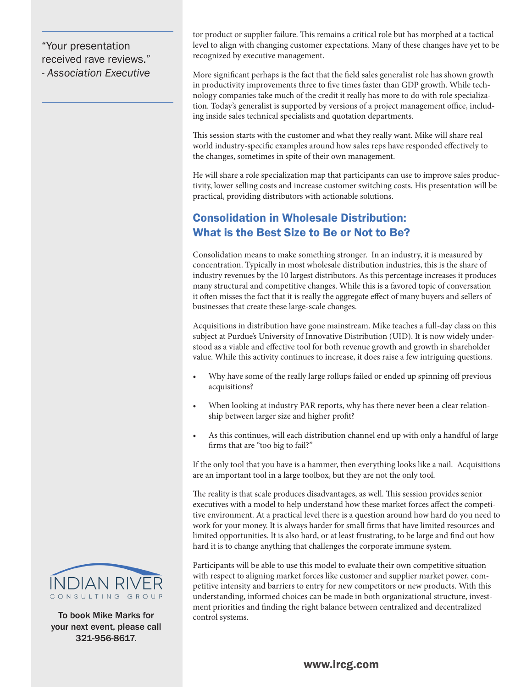"Your presentation received rave reviews." *- Association Executive* tor product or supplier failure. This remains a critical role but has morphed at a tactical level to align with changing customer expectations. Many of these changes have yet to be recognized by executive management.

More significant perhaps is the fact that the field sales generalist role has shown growth in productivity improvements three to five times faster than GDP growth. While technology companies take much of the credit it really has more to do with role specialization. Today's generalist is supported by versions of a project management office, including inside sales technical specialists and quotation departments.

This session starts with the customer and what they really want. Mike will share real world industry-specific examples around how sales reps have responded effectively to the changes, sometimes in spite of their own management.

He will share a role specialization map that participants can use to improve sales productivity, lower selling costs and increase customer switching costs. His presentation will be practical, providing distributors with actionable solutions.

### Consolidation in Wholesale Distribution: What is the Best Size to Be or Not to Be?

Consolidation means to make something stronger. In an industry, it is measured by concentration. Typically in most wholesale distribution industries, this is the share of industry revenues by the 10 largest distributors. As this percentage increases it produces many structural and competitive changes. While this is a favored topic of conversation it often misses the fact that it is really the aggregate effect of many buyers and sellers of businesses that create these large-scale changes.

Acquisitions in distribution have gone mainstream. Mike teaches a full-day class on this subject at Purdue's University of Innovative Distribution (UID). It is now widely understood as a viable and effective tool for both revenue growth and growth in shareholder value. While this activity continues to increase, it does raise a few intriguing questions.

- Why have some of the really large rollups failed or ended up spinning off previous acquisitions?
- When looking at industry PAR reports, why has there never been a clear relationship between larger size and higher profit?
- As this continues, will each distribution channel end up with only a handful of large firms that are "too big to fail?"

If the only tool that you have is a hammer, then everything looks like a nail. Acquisitions are an important tool in a large toolbox, but they are not the only tool.

The reality is that scale produces disadvantages, as well. This session provides senior executives with a model to help understand how these market forces affect the competitive environment. At a practical level there is a question around how hard do you need to work for your money. It is always harder for small firms that have limited resources and limited opportunities. It is also hard, or at least frustrating, to be large and find out how hard it is to change anything that challenges the corporate immune system.

Participants will be able to use this model to evaluate their own competitive situation with respect to aligning market forces like customer and supplier market power, competitive intensity and barriers to entry for new competitors or new products. With this understanding, informed choices can be made in both organizational structure, investment priorities and finding the right balance between centralized and decentralized control systems.



To book Mike Marks for your next event, please call 321-956-8617.